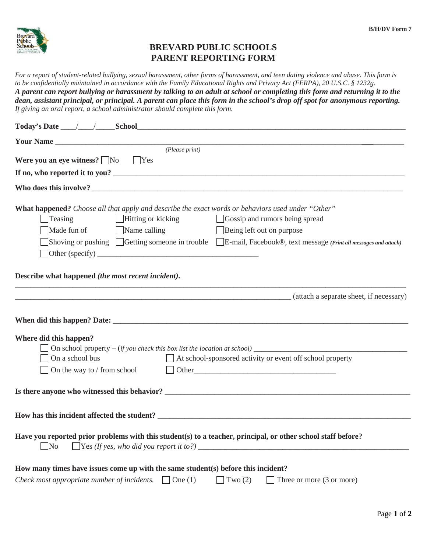

## **BREVARD PUBLIC SCHOOLS PARENT REPORTING FORM**

*For a report of student-related bullying, sexual harassment, other forms of harassment, and teen dating violence and abuse. This form is to be confidentially maintained in accordance with the Family Educational Rights and Privacy Act (FERPA), 20 U.S.C. § 1232g. A parent can report bullying or harassment by talking to an adult at school or completing this form and returning it to the dean, assistant principal, or principal. A parent can place this form in the school's drop off spot for anonymous reporting. If giving an oral report, a school administrator should complete this form.* 

| Were you an eye witness? $\Box$ No<br>$\bigcap$ Yes                                                                                              |                                                                                                                                                                                                                                |  |
|--------------------------------------------------------------------------------------------------------------------------------------------------|--------------------------------------------------------------------------------------------------------------------------------------------------------------------------------------------------------------------------------|--|
|                                                                                                                                                  |                                                                                                                                                                                                                                |  |
|                                                                                                                                                  |                                                                                                                                                                                                                                |  |
|                                                                                                                                                  |                                                                                                                                                                                                                                |  |
| What happened? Choose all that apply and describe the exact words or behaviors used under "Other"<br>$\Box$ Hitting or kicking<br>$\Box$ Teasing | Gossip and rumors being spread                                                                                                                                                                                                 |  |
| Made fun of<br>$\Box$ Name calling                                                                                                               | Being left out on purpose                                                                                                                                                                                                      |  |
|                                                                                                                                                  | Shoving or pushing Getting someone in trouble E-mail, Facebook®, text message (Print all messages and attach)                                                                                                                  |  |
| $\Box$ Other (specify) $\Box$                                                                                                                    |                                                                                                                                                                                                                                |  |
|                                                                                                                                                  |                                                                                                                                                                                                                                |  |
| Describe what happened (the most recent incident).                                                                                               |                                                                                                                                                                                                                                |  |
|                                                                                                                                                  |                                                                                                                                                                                                                                |  |
|                                                                                                                                                  | (attach a separate sheet, if necessary)                                                                                                                                                                                        |  |
|                                                                                                                                                  |                                                                                                                                                                                                                                |  |
|                                                                                                                                                  |                                                                                                                                                                                                                                |  |
|                                                                                                                                                  |                                                                                                                                                                                                                                |  |
| Where did this happen?                                                                                                                           |                                                                                                                                                                                                                                |  |
| On school property $-(if you check this box list the location at school)$                                                                        |                                                                                                                                                                                                                                |  |
| On a school bus                                                                                                                                  | At school-sponsored activity or event off school property                                                                                                                                                                      |  |
| On the way to / from school                                                                                                                      | Other experiences and the set of the set of the set of the set of the set of the set of the set of the set of the set of the set of the set of the set of the set of the set of the set of the set of the set of the set of th |  |
|                                                                                                                                                  |                                                                                                                                                                                                                                |  |
|                                                                                                                                                  |                                                                                                                                                                                                                                |  |
|                                                                                                                                                  |                                                                                                                                                                                                                                |  |
|                                                                                                                                                  |                                                                                                                                                                                                                                |  |
| Have you reported prior problems with this student(s) to a teacher, principal, or other school staff before?                                     |                                                                                                                                                                                                                                |  |
| $\Box$ No                                                                                                                                        |                                                                                                                                                                                                                                |  |
|                                                                                                                                                  |                                                                                                                                                                                                                                |  |
| How many times have issues come up with the same student(s) before this incident?                                                                |                                                                                                                                                                                                                                |  |
| Check most appropriate number of incidents. $\Box$ One (1)                                                                                       | Two $(2)$<br>Three or more (3 or more)                                                                                                                                                                                         |  |